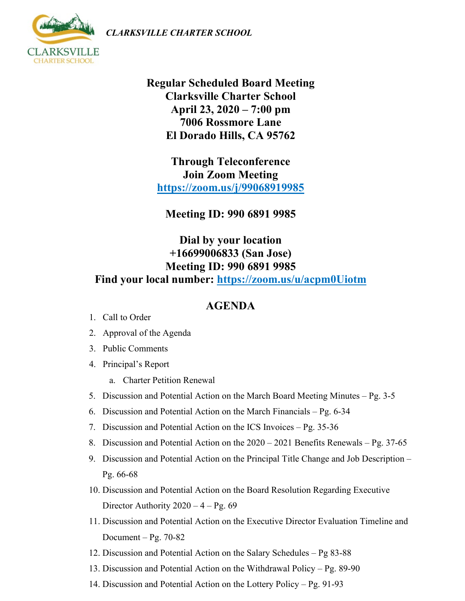*CLARKSVILLE CHARTER SCHOOL*



**Regular Scheduled Board Meeting Clarksville Charter School April 23, 2020 – 7:00 pm 7006 Rossmore Lane El Dorado Hills, CA 95762**

**Through Teleconference Join Zoom Meeting <https://zoom.us/j/99068919985>**

**Meeting ID: 990 6891 9985**

## **Dial by your location +16699006833 (San Jose) Meeting ID: 990 6891 9985 Find your local number: <https://zoom.us/u/acpm0Uiotm>**

## **AGENDA**

- 1. Call to Order
- 2. Approval of the Agenda
- 3. Public Comments
- 4. Principal's Report
	- a. Charter Petition Renewal
- 5. Discussion and Potential Action on the March Board Meeting Minutes Pg. 3-5
- 6. Discussion and Potential Action on the March Financials Pg. 6-34
- 7. Discussion and Potential Action on the ICS Invoices Pg. 35-36
- 8. Discussion and Potential Action on the 2020 2021 Benefits Renewals Pg. 37-65
- 9. Discussion and Potential Action on the Principal Title Change and Job Description Pg. 66-68
- 10. Discussion and Potential Action on the Board Resolution Regarding Executive Director Authority  $2020 - 4 - \text{Pg}$ . 69
- 11. Discussion and Potential Action on the Executive Director Evaluation Timeline and Document – Pg.  $70-82$
- 12. Discussion and Potential Action on the Salary Schedules Pg 83-88
- 13. Discussion and Potential Action on the Withdrawal Policy Pg. 89-90
- 14. Discussion and Potential Action on the Lottery Policy Pg. 91-93